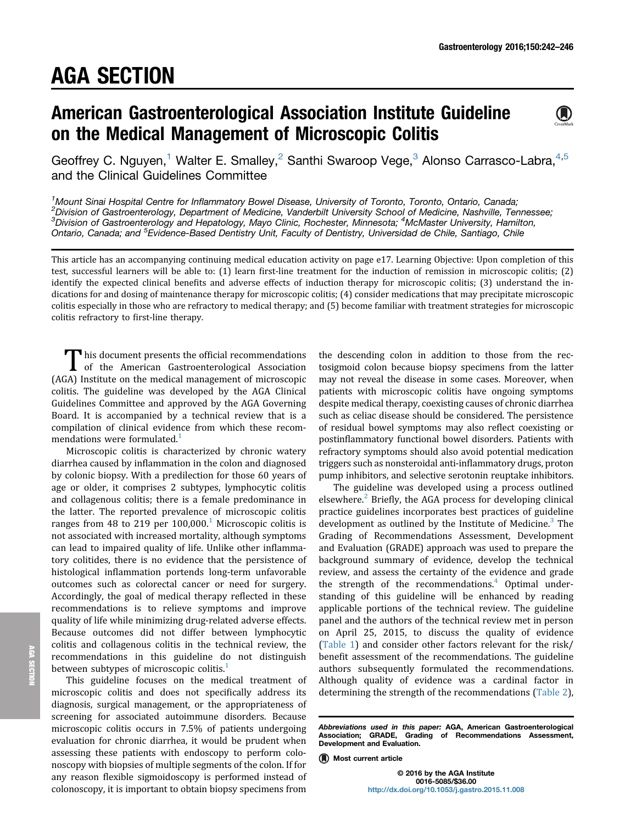# American Gastroenterological Association Institute Guideline on the Medical Management of Microscopic Colitis



Geoffrey C. Nguyen,<sup>1</sup> Walter E. Smalley,<sup>2</sup> Santhi Swaroop Vege,<sup>3</sup> Alonso Carrasco-Labra,<sup>4,5</sup> and the Clinical Guidelines Committee

<sup>1</sup> Mount Sinai Hospital Centre for Inflammatory Bowel Disease, University of Toronto, Toronto, Ontario, Canada;<br><sup>2</sup> Division of Gestroenterslocy, Department of Medicine, Vanderbilt University School of Medicine, Nashville <sup>2</sup> Division of Gastroenterology, Department of Medicine, Vanderbilt University School of Medicine, Nashville, Tennessee; <sup>3</sup>Division of Gastroenterology and Hepatology, Mayo Clinic, Rochester, Minnesota; <sup>4</sup>McMaster University, Hamilton, Ontario, Canada; and <sup>5</sup>Evidence-Based Dentistry Unit, Faculty of Dentistry, Universidad de Chile, Santiago, Chile

This article has an accompanying continuing medical education activity on page e17. Learning Objective: Upon completion of this test, successful learners will be able to: (1) learn first-line treatment for the induction of remission in microscopic colitis; (2) identify the expected clinical benefits and adverse effects of induction therapy for microscopic colitis; (3) understand the indications for and dosing of maintenance therapy for microscopic colitis; (4) consider medications that may precipitate microscopic colitis especially in those who are refractory to medical therapy; and (5) become familiar with treatment strategies for microscopic colitis refractory to first-line therapy.

This document presents the official recommendations<br>of the American Gastroenterological Association (AGA) Institute on the medical management of microscopic colitis. The guideline was developed by the AGA Clinical Guidelines Committee and approved by the AGA Governing Board. It is accompanied by a technical review that is a compilation of clinical evidence from which these recommendations were formulated.<sup>1</sup>

Microscopic colitis is characterized by chronic watery diarrhea caused by inflammation in the colon and diagnosed by colonic biopsy. With a predilection for those 60 years of age or older, it comprises 2 subtypes, lymphocytic colitis and collagenous colitis; there is a female predominance in the latter. The reported prevalence of microscopic colitis ranges from 48 to 219 per  $100,000$ <sup>1</sup> Microscopic colitis is not associated with increased mortality, although symptoms can lead to impaired quality of life. Unlike other inflammatory colitides, there is no evidence that the persistence of histological inflammation portends long-term unfavorable outcomes such as colorectal cancer or need for surgery. Accordingly, the goal of medical therapy reflected in these recommendations is to relieve symptoms and improve quality of life while minimizing drug-related adverse effects. Because outcomes did not differ between lymphocytic colitis and collagenous colitis in the technical review, the recommendations in this guideline do not distinguish between subtypes of microscopic colitis.<sup>1</sup>

This guideline focuses on the medical treatment of microscopic colitis and does not specifically address its diagnosis, surgical management, or the appropriateness of screening for associated autoimmune disorders. Because microscopic colitis occurs in 7.5% of patients undergoing evaluation for chronic diarrhea, it would be prudent when assessing these patients with endoscopy to perform colonoscopy with biopsies of multiple segments of the colon. If for any reason flexible sigmoidoscopy is performed instead of colonoscopy, it is important to obtain biopsy specimens from

the descending colon in addition to those from the rectosigmoid colon because biopsy specimens from the latter may not reveal the disease in some cases. Moreover, when patients with microscopic colitis have ongoing symptoms despite medical therapy, coexisting causes of chronic diarrhea such as celiac disease should be considered. The persistence of residual bowel symptoms may also reflect coexisting or postinflammatory functional bowel disorders. Patients with refractory symptoms should also avoid potential medication triggers such as nonsteroidal anti-inflammatory drugs, proton pump inhibitors, and selective serotonin reuptake inhibitors.

The guideline was developed using a process outlined elsewhere.<sup>2</sup> Briefly, the AGA process for developing clinical practice guidelines incorporates best practices of guideline development as outlined by the Institute of Medicine.<sup>3</sup> The Grading of Recommendations Assessment, Development and Evaluation (GRADE) approach was used to prepare the background summary of evidence, develop the technical review, and assess the certainty of the evidence and grade the strength of the recommendations. $4$  Optimal understanding of this guideline will be enhanced by reading applicable portions of the technical review. The guideline panel and the authors of the technical review met in person on April 25, 2015, to discuss the quality of evidence (Table 1) and consider other factors relevant for the risk/ benefit assessment of the recommendations. The guideline authors subsequently formulated the recommendations. Although quality of evidence was a cardinal factor in determining the strength of the recommendations (Table 2),

© 2016 by the AGA Institute 0016-5085/\$36.00 <http://dx.doi.org/10.1053/j.gastro.2015.11.008>

Abbreviations used in this paper: AGA, American Gastroenterological Association; GRADE, Grading of Recommendations Assessment, Development and Evaluation.

**<sup>(</sup>A)** Most current article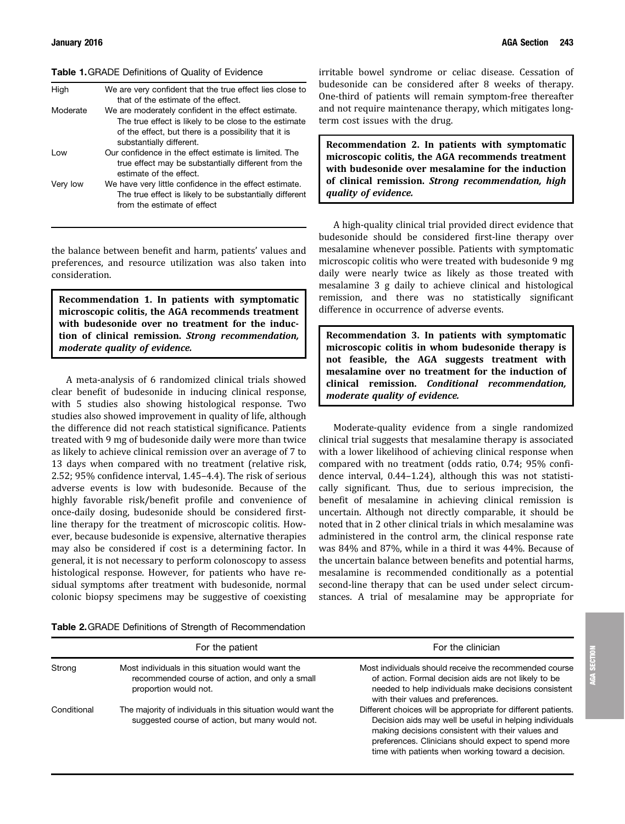### Table 1.GRADE Definitions of Quality of Evidence

| High     | We are very confident that the true effect lies close to<br>that of the estimate of the effect.                                                                                                  |
|----------|--------------------------------------------------------------------------------------------------------------------------------------------------------------------------------------------------|
| Moderate | We are moderately confident in the effect estimate.<br>The true effect is likely to be close to the estimate<br>of the effect, but there is a possibility that it is<br>substantially different. |
| l ow     | Our confidence in the effect estimate is limited. The<br>true effect may be substantially different from the<br>estimate of the effect.                                                          |
| Very low | We have very little confidence in the effect estimate.<br>The true effect is likely to be substantially different<br>from the estimate of effect                                                 |

the balance between benefit and harm, patients' values and preferences, and resource utilization was also taken into consideration.

Recommendation 1. In patients with symptomatic microscopic colitis, the AGA recommends treatment with budesonide over no treatment for the induction of clinical remission. Strong recommendation, moderate quality of evidence.

A meta-analysis of 6 randomized clinical trials showed clear benefit of budesonide in inducing clinical response, with 5 studies also showing histological response. Two studies also showed improvement in quality of life, although the difference did not reach statistical significance. Patients treated with 9 mg of budesonide daily were more than twice as likely to achieve clinical remission over an average of 7 to 13 days when compared with no treatment (relative risk, 2.52; 95% confidence interval, 1.45–4.4). The risk of serious adverse events is low with budesonide. Because of the highly favorable risk/benefit profile and convenience of once-daily dosing, budesonide should be considered firstline therapy for the treatment of microscopic colitis. However, because budesonide is expensive, alternative therapies may also be considered if cost is a determining factor. In general, it is not necessary to perform colonoscopy to assess histological response. However, for patients who have residual symptoms after treatment with budesonide, normal colonic biopsy specimens may be suggestive of coexisting irritable bowel syndrome or celiac disease. Cessation of budesonide can be considered after 8 weeks of therapy. One-third of patients will remain symptom-free thereafter and not require maintenance therapy, which mitigates longterm cost issues with the drug.

Recommendation 2. In patients with symptomatic microscopic colitis, the AGA recommends treatment with budesonide over mesalamine for the induction of clinical remission. Strong recommendation, high quality of evidence.

A high-quality clinical trial provided direct evidence that budesonide should be considered first-line therapy over mesalamine whenever possible. Patients with symptomatic microscopic colitis who were treated with budesonide 9 mg daily were nearly twice as likely as those treated with mesalamine 3 g daily to achieve clinical and histological remission, and there was no statistically significant difference in occurrence of adverse events.

Recommendation 3. In patients with symptomatic microscopic colitis in whom budesonide therapy is not feasible, the AGA suggests treatment with mesalamine over no treatment for the induction of clinical remission. Conditional recommendation, moderate quality of evidence.

Moderate-quality evidence from a single randomized clinical trial suggests that mesalamine therapy is associated with a lower likelihood of achieving clinical response when compared with no treatment (odds ratio, 0.74; 95% confidence interval, 0.44–1.24), although this was not statistically significant. Thus, due to serious imprecision, the benefit of mesalamine in achieving clinical remission is uncertain. Although not directly comparable, it should be noted that in 2 other clinical trials in which mesalamine was administered in the control arm, the clinical response rate was 84% and 87%, while in a third it was 44%. Because of the uncertain balance between benefits and potential harms, mesalamine is recommended conditionally as a potential second-line therapy that can be used under select circumstances. A trial of mesalamine may be appropriate for

Table 2.GRADE Definitions of Strength of Recommendation

|             | For the patient                                                                                                              | For the clinician                                                                                                                                                                                                                                                                          |
|-------------|------------------------------------------------------------------------------------------------------------------------------|--------------------------------------------------------------------------------------------------------------------------------------------------------------------------------------------------------------------------------------------------------------------------------------------|
| Strong      | Most individuals in this situation would want the<br>recommended course of action, and only a small<br>proportion would not. | Most individuals should receive the recommended course<br>of action. Formal decision aids are not likely to be<br>needed to help individuals make decisions consistent<br>with their values and preferences.                                                                               |
| Conditional | The majority of individuals in this situation would want the<br>suggested course of action, but many would not.              | Different choices will be appropriate for different patients.<br>Decision aids may well be useful in helping individuals<br>making decisions consistent with their values and<br>preferences. Clinicians should expect to spend more<br>time with patients when working toward a decision. |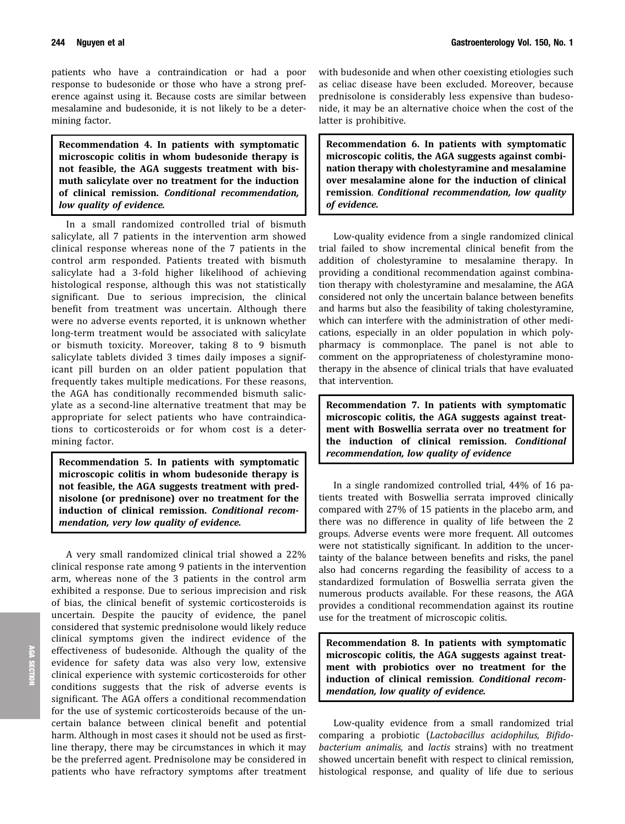patients who have a contraindication or had a poor response to budesonide or those who have a strong preference against using it. Because costs are similar between mesalamine and budesonide, it is not likely to be a determining factor.

Recommendation 4. In patients with symptomatic microscopic colitis in whom budesonide therapy is not feasible, the AGA suggests treatment with bismuth salicylate over no treatment for the induction of clinical remission. Conditional recommendation, low quality of evidence.

In a small randomized controlled trial of bismuth salicylate, all 7 patients in the intervention arm showed clinical response whereas none of the 7 patients in the control arm responded. Patients treated with bismuth salicylate had a 3-fold higher likelihood of achieving histological response, although this was not statistically significant. Due to serious imprecision, the clinical benefit from treatment was uncertain. Although there were no adverse events reported, it is unknown whether long-term treatment would be associated with salicylate or bismuth toxicity. Moreover, taking 8 to 9 bismuth salicylate tablets divided 3 times daily imposes a significant pill burden on an older patient population that frequently takes multiple medications. For these reasons, the AGA has conditionally recommended bismuth salicylate as a second-line alternative treatment that may be appropriate for select patients who have contraindications to corticosteroids or for whom cost is a determining factor.

Recommendation 5. In patients with symptomatic microscopic colitis in whom budesonide therapy is not feasible, the AGA suggests treatment with prednisolone (or prednisone) over no treatment for the induction of clinical remission. Conditional recommendation, very low quality of evidence.

A very small randomized clinical trial showed a 22% clinical response rate among 9 patients in the intervention arm, whereas none of the 3 patients in the control arm exhibited a response. Due to serious imprecision and risk of bias, the clinical benefit of systemic corticosteroids is uncertain. Despite the paucity of evidence, the panel considered that systemic prednisolone would likely reduce clinical symptoms given the indirect evidence of the effectiveness of budesonide. Although the quality of the evidence for safety data was also very low, extensive clinical experience with systemic corticosteroids for other conditions suggests that the risk of adverse events is significant. The AGA offers a conditional recommendation for the use of systemic corticosteroids because of the uncertain balance between clinical benefit and potential harm. Although in most cases it should not be used as firstline therapy, there may be circumstances in which it may be the preferred agent. Prednisolone may be considered in patients who have refractory symptoms after treatment with budesonide and when other coexisting etiologies such as celiac disease have been excluded. Moreover, because prednisolone is considerably less expensive than budesonide, it may be an alternative choice when the cost of the latter is prohibitive.

Recommendation 6. In patients with symptomatic microscopic colitis, the AGA suggests against combination therapy with cholestyramine and mesalamine over mesalamine alone for the induction of clinical remission. Conditional recommendation, low quality of evidence.

Low-quality evidence from a single randomized clinical trial failed to show incremental clinical benefit from the addition of cholestyramine to mesalamine therapy. In providing a conditional recommendation against combination therapy with cholestyramine and mesalamine, the AGA considered not only the uncertain balance between benefits and harms but also the feasibility of taking cholestyramine, which can interfere with the administration of other medications, especially in an older population in which polypharmacy is commonplace. The panel is not able to comment on the appropriateness of cholestyramine monotherapy in the absence of clinical trials that have evaluated that intervention.

Recommendation 7. In patients with symptomatic microscopic colitis, the AGA suggests against treatment with Boswellia serrata over no treatment for the induction of clinical remission. Conditional recommendation, low quality of evidence

In a single randomized controlled trial, 44% of 16 patients treated with Boswellia serrata improved clinically compared with 27% of 15 patients in the placebo arm, and there was no difference in quality of life between the 2 groups. Adverse events were more frequent. All outcomes were not statistically significant. In addition to the uncertainty of the balance between benefits and risks, the panel also had concerns regarding the feasibility of access to a standardized formulation of Boswellia serrata given the numerous products available. For these reasons, the AGA provides a conditional recommendation against its routine use for the treatment of microscopic colitis.

Recommendation 8. In patients with symptomatic microscopic colitis, the AGA suggests against treatment with probiotics over no treatment for the induction of clinical remission. Conditional recommendation, low quality of evidence.

Low-quality evidence from a small randomized trial comparing a probiotic (Lactobacillus acidophilus, Bifidobacterium animalis, and lactis strains) with no treatment showed uncertain benefit with respect to clinical remission, histological response, and quality of life due to serious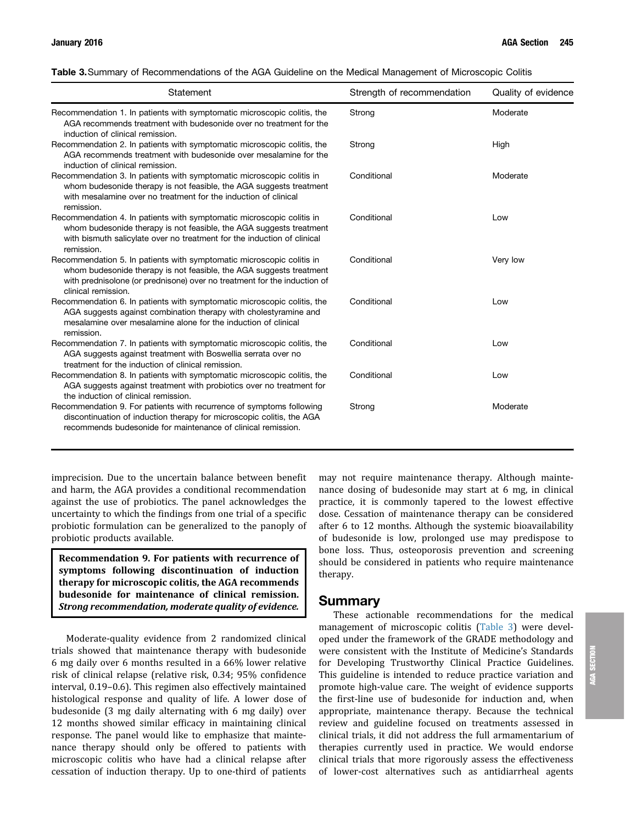| Table 3. Summary of Recommendations of the AGA Guideline on the Medical Management of Microscopic Colitis |  |  |  |
|-----------------------------------------------------------------------------------------------------------|--|--|--|
|                                                                                                           |  |  |  |

| Statement                                                                                                                                                                                                                                       | Strength of recommendation | Quality of evidence |
|-------------------------------------------------------------------------------------------------------------------------------------------------------------------------------------------------------------------------------------------------|----------------------------|---------------------|
| Recommendation 1. In patients with symptomatic microscopic colitis, the<br>AGA recommends treatment with budesonide over no treatment for the<br>induction of clinical remission.                                                               | Strong                     | Moderate            |
| Recommendation 2. In patients with symptomatic microscopic colitis, the<br>AGA recommends treatment with budesonide over mesalamine for the<br>induction of clinical remission.                                                                 | Strong                     | High                |
| Recommendation 3. In patients with symptomatic microscopic colitis in<br>whom budesonide therapy is not feasible, the AGA suggests treatment<br>with mesalamine over no treatment for the induction of clinical<br>remission.                   | Conditional                | Moderate            |
| Recommendation 4. In patients with symptomatic microscopic colitis in<br>whom budesonide therapy is not feasible, the AGA suggests treatment<br>with bismuth salicylate over no treatment for the induction of clinical<br>remission.           | Conditional                | Low                 |
| Recommendation 5. In patients with symptomatic microscopic colitis in<br>whom budesonide therapy is not feasible, the AGA suggests treatment<br>with prednisolone (or prednisone) over no treatment for the induction of<br>clinical remission. | Conditional                | Very low            |
| Recommendation 6. In patients with symptomatic microscopic colitis, the<br>AGA suggests against combination therapy with cholestyramine and<br>mesalamine over mesalamine alone for the induction of clinical<br>remission.                     | Conditional                | Low                 |
| Recommendation 7. In patients with symptomatic microscopic colitis, the<br>AGA suggests against treatment with Boswellia serrata over no<br>treatment for the induction of clinical remission.                                                  | Conditional                | Low                 |
| Recommendation 8. In patients with symptomatic microscopic colitis, the<br>AGA suggests against treatment with probiotics over no treatment for<br>the induction of clinical remission.                                                         | Conditional                | Low                 |
| Recommendation 9. For patients with recurrence of symptoms following<br>discontinuation of induction therapy for microscopic colitis, the AGA<br>recommends budesonide for maintenance of clinical remission.                                   | Strong                     | Moderate            |

imprecision. Due to the uncertain balance between benefit and harm, the AGA provides a conditional recommendation against the use of probiotics. The panel acknowledges the uncertainty to which the findings from one trial of a specific probiotic formulation can be generalized to the panoply of probiotic products available.

Recommendation 9. For patients with recurrence of symptoms following discontinuation of induction therapy for microscopic colitis, the AGA recommends budesonide for maintenance of clinical remission. Strong recommendation, moderate quality of evidence.

Moderate-quality evidence from 2 randomized clinical trials showed that maintenance therapy with budesonide 6 mg daily over 6 months resulted in a 66% lower relative risk of clinical relapse (relative risk, 0.34; 95% confidence interval, 0.19–0.6). This regimen also effectively maintained histological response and quality of life. A lower dose of budesonide (3 mg daily alternating with 6 mg daily) over 12 months showed similar efficacy in maintaining clinical response. The panel would like to emphasize that maintenance therapy should only be offered to patients with microscopic colitis who have had a clinical relapse after cessation of induction therapy. Up to one-third of patients may not require maintenance therapy. Although maintenance dosing of budesonide may start at 6 mg, in clinical practice, it is commonly tapered to the lowest effective dose. Cessation of maintenance therapy can be considered after 6 to 12 months. Although the systemic bioavailability of budesonide is low, prolonged use may predispose to bone loss. Thus, osteoporosis prevention and screening should be considered in patients who require maintenance therapy.

## Summary

These actionable recommendations for the medical management of microscopic colitis (Table 3) were developed under the framework of the GRADE methodology and were consistent with the Institute of Medicine's Standards for Developing Trustworthy Clinical Practice Guidelines. This guideline is intended to reduce practice variation and promote high-value care. The weight of evidence supports the first-line use of budesonide for induction and, when appropriate, maintenance therapy. Because the technical review and guideline focused on treatments assessed in clinical trials, it did not address the full armamentarium of therapies currently used in practice. We would endorse clinical trials that more rigorously assess the effectiveness of lower-cost alternatives such as antidiarrheal agents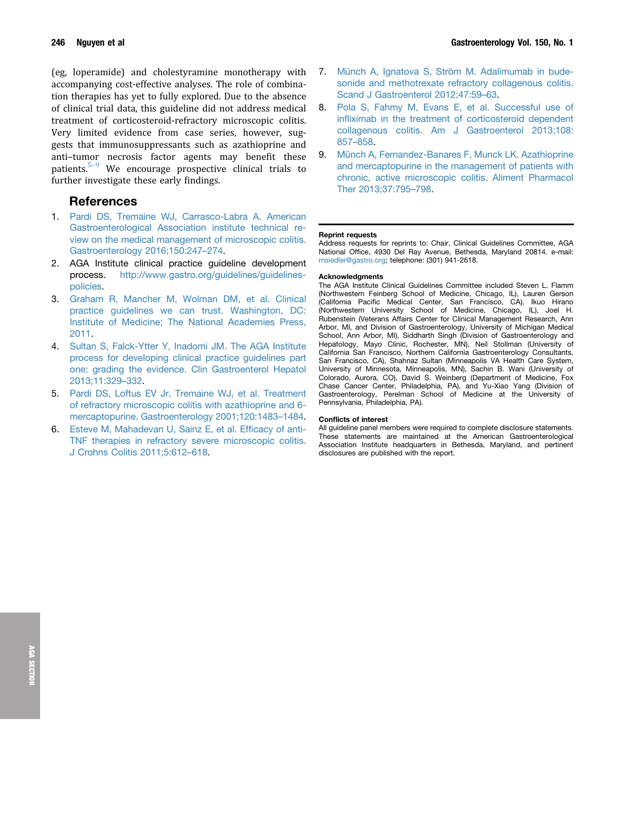(eg, loperamide) and cholestyramine monotherapy with accompanying cost-effective analyses. The role of combination therapies has yet to fully explored. Due to the absence of clinical trial data, this guideline did not address medical treatment of corticosteroid-refractory microscopic colitis. Very limited evidence from case series, however, suggests that immunosuppressants such as azathioprine and anti–tumor necrosis factor agents may benefit these patients.<sup>5-9</sup> We encourage prospective clinical trials to further investigate these early findings.

## References

- 1. [Pardi DS, Tremaine WJ, Carrasco-Labra A. American](http://refhub.elsevier.com/S0016-5085(15)01625-X/sref1) [Gastroenterological Association institute technical re](http://refhub.elsevier.com/S0016-5085(15)01625-X/sref1)[view on the medical management of microscopic colitis.](http://refhub.elsevier.com/S0016-5085(15)01625-X/sref1) [Gastroenterology 2016;150:247](http://refhub.elsevier.com/S0016-5085(15)01625-X/sref1)–[274.](http://refhub.elsevier.com/S0016-5085(15)01625-X/sref1)
- 2. AGA Institute clinical practice guideline development process. [http://www.gastro.org/guidelines/guidelines](http://www.gastro.org/guidelines/guidelines-policies)[policies.](http://www.gastro.org/guidelines/guidelines-policies)
- 3. [Graham R, Mancher M, Wolman DM, et al. Clinical](http://refhub.elsevier.com/S0016-5085(15)01625-X/sref3) [practice guidelines we can trust. Washington, DC:](http://refhub.elsevier.com/S0016-5085(15)01625-X/sref3) [Institute of Medicine; The National Academies Press,](http://refhub.elsevier.com/S0016-5085(15)01625-X/sref3) [2011](http://refhub.elsevier.com/S0016-5085(15)01625-X/sref3).
- 4. [Sultan S, Falck-Ytter Y, Inadomi JM. The AGA Institute](http://refhub.elsevier.com/S0016-5085(15)01625-X/sref4) [process for developing clinical practice guidelines part](http://refhub.elsevier.com/S0016-5085(15)01625-X/sref4) [one: grading the evidence. Clin Gastroenterol Hepatol](http://refhub.elsevier.com/S0016-5085(15)01625-X/sref4) [2013;11:329](http://refhub.elsevier.com/S0016-5085(15)01625-X/sref4)–[332](http://refhub.elsevier.com/S0016-5085(15)01625-X/sref4).
- 5. [Pardi DS, Loftus EV Jr, Tremaine WJ, et al. Treatment](http://refhub.elsevier.com/S0016-5085(15)01625-X/sref5) [of refractory microscopic colitis with azathioprine and 6](http://refhub.elsevier.com/S0016-5085(15)01625-X/sref5) [mercaptopurine. Gastroenterology 2001;120:1483](http://refhub.elsevier.com/S0016-5085(15)01625-X/sref5)–[1484.](http://refhub.elsevier.com/S0016-5085(15)01625-X/sref5)
- 6. [Esteve M, Mahadevan U, Sainz E, et al. Ef](http://refhub.elsevier.com/S0016-5085(15)01625-X/sref6)ficacy of anti-[TNF therapies in refractory severe microscopic colitis.](http://refhub.elsevier.com/S0016-5085(15)01625-X/sref6) [J Crohns Colitis 2011;5:612](http://refhub.elsevier.com/S0016-5085(15)01625-X/sref6)–[618](http://refhub.elsevier.com/S0016-5085(15)01625-X/sref6).
- 7. [Münch A, Ignatova S, Ström M. Adalimumab in bude](http://refhub.elsevier.com/S0016-5085(15)01625-X/sref7)[sonide and methotrexate refractory collagenous colitis.](http://refhub.elsevier.com/S0016-5085(15)01625-X/sref7) [Scand J Gastroenterol 2012;47:59](http://refhub.elsevier.com/S0016-5085(15)01625-X/sref7)–[63](http://refhub.elsevier.com/S0016-5085(15)01625-X/sref7).
- 8. [Pola S, Fahmy M, Evans E, et al. Successful use of](http://refhub.elsevier.com/S0016-5085(15)01625-X/sref8) infl[iximab in the treatment of corticosteroid dependent](http://refhub.elsevier.com/S0016-5085(15)01625-X/sref8) [collagenous colitis. Am J Gastroenterol 2013;108:](http://refhub.elsevier.com/S0016-5085(15)01625-X/sref8) [857](http://refhub.elsevier.com/S0016-5085(15)01625-X/sref8)–[858.](http://refhub.elsevier.com/S0016-5085(15)01625-X/sref8)
- 9. [Münch A, Fernandez-Banares F, Munck LK. Azathioprine](http://refhub.elsevier.com/S0016-5085(15)01625-X/sref9) [and mercaptopurine in the management of patients with](http://refhub.elsevier.com/S0016-5085(15)01625-X/sref9) [chronic, active microscopic colitis. Aliment Pharmacol](http://refhub.elsevier.com/S0016-5085(15)01625-X/sref9) [Ther 2013;37:795](http://refhub.elsevier.com/S0016-5085(15)01625-X/sref9)–[798.](http://refhub.elsevier.com/S0016-5085(15)01625-X/sref9)

## Reprint requests

Address requests for reprints to: Chair, Clinical Guidelines Committee, AGA National Office, 4930 Del Ray Avenue, Bethesda, Maryland 20814. e-mail: [msiedler@gastro.org](mailto:msiedler@gastro.org); telephone: (301) 941-2618.

### **Acknowledaments**

The AGA Institute Clinical Guidelines Committee included Steven L. Flamm (Northwestern Feinberg School of Medicine, Chicago, IL), Lauren Gerson (California Pacific Medical Center, San Francisco, CA), Ikuo Hirano (Northwestern University School of Medicine, Chicago, IL), Joel H. Rubenstein (Veterans Affairs Center for Clinical Management Research, Ann Arbor, MI, and Division of Gastroenterology, University of Michigan Medical School, Ann Arbor, MI), Siddharth Singh (Division of Gastroenterology and Hepatology, Mayo Clinic, Rochester, MN), Neil Stollman (University of California San Francisco, Northern California Gastroenterology Consultants, San Francisco, CA), Shahnaz Sultan (Minneapolis VA Health Care System, University of Minnesota, Minneapolis, MN), Sachin B. Wani (University of Colorado, Aurora, CO), David S. Weinberg (Department of Medicine, Fox Chase Cancer Center, Philadelphia, PA), and Yu-Xiao Yang (Division of Gastroenterology, Perelman School of Medicine at the University of Pennsylvania, Philadelphia, PA).

### Conflicts of interest

All guideline panel members were required to complete disclosure statements. These statements are maintained at the American Gastroenterological Association Institute headquarters in Bethesda, Maryland, and pertinent disclosures are published with the report.